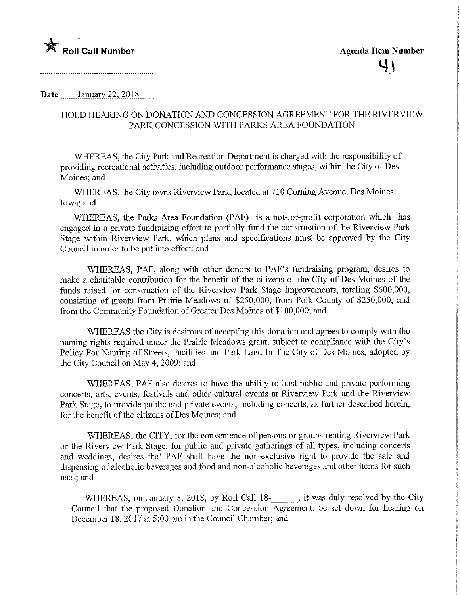Roll Call Number **Agents** Agenda Item Number

**Date** January 22, 2018.

## HOLD HEARING ON DONATION AND CONCESSION AGREEMENT FOR THE RIVERVIEW PARK CONCESSION WITH PARKS AREA FOUNDATION

WHEREAS, the City Park and Recreation Department is charged with the responsibility of providing recreational activities, including outdoor performance stages, within the City of Des Moines; and

WHEREAS, the City owns Riverview Park, located at 710 Corning Avenue, Des Moines, Iowa; and

WHEREAS, the Parks Area Foundation (PAF) is a not-for-profit corporation which has engaged in a private fimdraising effort to partially fund the construction of the Riverview Park Stage within Riverview Park, which plans and specifications must be approved by the City Council in order to be put into effect; and

WHEREAS, PAF, along with other donors to PAF's fundraising program, desires to make a charitable contribution for the benefit of the citizens of the City of Des Moines of the funds raised for construction of the Riverview Park Stage improvements, totaling \$600,000, consisting of grants from Prairie Meadows of \$250,000, from Polk County of \$250,000, and from the Community Foundation of Greater Des Moines of \$100,000; and

WHEREAS the City is desirous of accepting this donation and agrees to comply with the naming rights required under the Prairie Meadows grant, subject to compliance with the City's Policy For Naming of Streets, Facilities and Park Land In The City of Des Moines, adopted by the City Council on May 4,2009; and

WHEREAS, PAF also desires to have the ability to host public and private performing concerts, arts, events, festivals and other cultural events at Riverview Park and the Riverview Park Stage, to provide public and private events, including concerts, as further described herein, for the benefit of the citizens of Des Moines; and

WHEREAS, the CITY, for the convenience of persons or groups renting Riverview Park or the Riverview Park Stage, for public and private gatherings of all types, including concerts and weddings, desires that PAF shall have the non-exclusive right to provide the sale and dispensing of alcoholic beverages and food and non-alcoholic beverages and other items for such uses; and

WHEREAS, on January 8, 2018, by Roll Call 18-<br>18-<br>18. it was duly resolved by the City Council that the proposed Donation and Concession Agreement, be set down for hearing on December 18, 2017 at 5:00 pm in the Council Chamber; and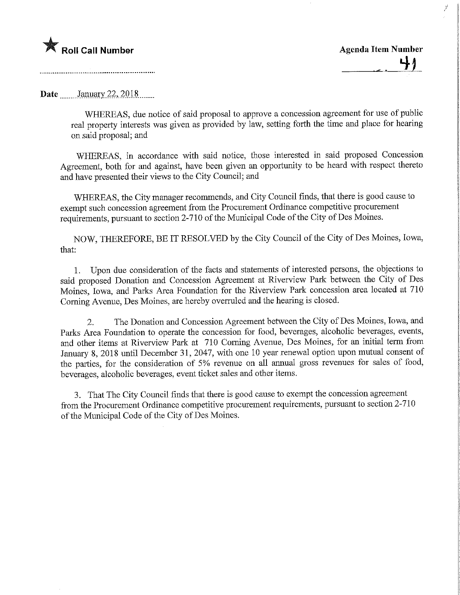## **Agenda Item Number Agenda Item Number** Agenda Item Number

7

Date *\_\_\_\_\_* January 22, 2018 *\_\_\_\_* 

WHEREAS, due notice of said proposal to approve a concession agreement for use of public real property interests was given as provided by law, setting forth the time and place for hearing on said proposal; and

WHEREAS, in accordance with said notice, those interested in said proposed Concession Agreement, both for and against, have been given an opportunity to be heard with respect thereto and have presented their views to the City Council; and

WHEREAS, the City manager recommends, and City Council finds, that there is good cause to exempt such concession agreement from the Procurement Ordinance competitive procurement requirements, pursuant to section 2-710 of the Municipal Code of the City of Des Moines.

NOW, THEREFORE, BE IT RESOLVED by the City Council of the City of Des Moines, Iowa, that:

1. Upon due consideration of the facts and statements of interested persons, the objections to said proposed Donation and Concession Agreement at Riverview Park between the City of Des Moines, Iowa, and Parks Area Foundation for the Riverview Park concession area located at 710 Coming Avenue, Des Moines, are hereby overruled and the hearing is closed.

2. The Donation and Concession Agreement between the City of Des Moines, Iowa, and Parks Area Foundation to operate the concession for food, beverages, alcoholic beverages, events, and other items at Riverview Park at 710 Coming Avenue, Des Moines, for an initial term from January 8, 2018 until December 31, 2047, with one 10 year renewal option upon mutual consent of the parties, for the consideration of 5% revenue on all annual gross revenues for sales of food, beverages, alcoholic beverages, event ticket sales and other items.

3. That The City Council finds that there is good cause to exempt the concession agreement from the Procurement Ordinance competitive procurement requirements, pursuant to section 2-710 of the Municipal Code of the City of Des Moines.